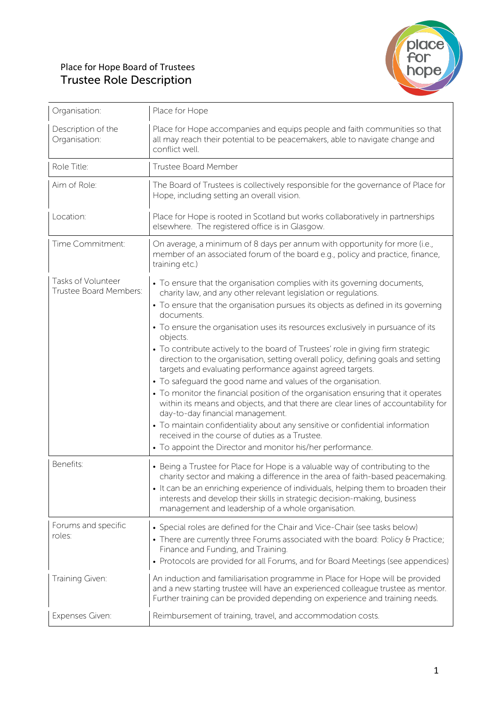## Place for Hope Board of Trustees Trustee Role Description



| Organisation:                                | Place for Hope                                                                                                                                                                                                                                                                                                                                                                          |  |
|----------------------------------------------|-----------------------------------------------------------------------------------------------------------------------------------------------------------------------------------------------------------------------------------------------------------------------------------------------------------------------------------------------------------------------------------------|--|
| Description of the<br>Organisation:          | Place for Hope accompanies and equips people and faith communities so that<br>all may reach their potential to be peacemakers, able to navigate change and<br>conflict well.                                                                                                                                                                                                            |  |
| Role Title:                                  | Trustee Board Member                                                                                                                                                                                                                                                                                                                                                                    |  |
| Aim of Role:                                 | The Board of Trustees is collectively responsible for the governance of Place for<br>Hope, including setting an overall vision.                                                                                                                                                                                                                                                         |  |
| Location:                                    | Place for Hope is rooted in Scotland but works collaboratively in partnerships<br>elsewhere. The registered office is in Glasgow.                                                                                                                                                                                                                                                       |  |
| Time Commitment:                             | On average, a minimum of 8 days per annum with opportunity for more (i.e.,<br>member of an associated forum of the board e.g., policy and practice, finance,<br>training etc.)                                                                                                                                                                                                          |  |
| Tasks of Volunteer<br>Trustee Board Members: | • To ensure that the organisation complies with its governing documents,<br>charity law, and any other relevant legislation or regulations.                                                                                                                                                                                                                                             |  |
|                                              | • To ensure that the organisation pursues its objects as defined in its governing<br>documents.                                                                                                                                                                                                                                                                                         |  |
|                                              | • To ensure the organisation uses its resources exclusively in pursuance of its<br>objects.                                                                                                                                                                                                                                                                                             |  |
|                                              | • To contribute actively to the board of Trustees' role in giving firm strategic<br>direction to the organisation, setting overall policy, defining goals and setting<br>targets and evaluating performance against agreed targets.                                                                                                                                                     |  |
|                                              | • To safeguard the good name and values of the organisation.<br>• To monitor the financial position of the organisation ensuring that it operates<br>within its means and objects, and that there are clear lines of accountability for<br>day-to-day financial management.                                                                                                             |  |
|                                              | • To maintain confidentiality about any sensitive or confidential information<br>received in the course of duties as a Trustee.                                                                                                                                                                                                                                                         |  |
|                                              | • To appoint the Director and monitor his/her performance.                                                                                                                                                                                                                                                                                                                              |  |
| Benefits:                                    | • Being a Trustee for Place for Hope is a valuable way of contributing to the<br>charity sector and making a difference in the area of faith-based peacemaking.<br>• It can be an enriching experience of individuals, helping them to broaden their<br>interests and develop their skills in strategic decision-making, business<br>management and leadership of a whole organisation. |  |
| Forums and specific<br>roles:                | • Special roles are defined for the Chair and Vice-Chair (see tasks below)<br>• There are currently three Forums associated with the board: Policy & Practice;<br>Finance and Funding, and Training.<br>• Protocols are provided for all Forums, and for Board Meetings (see appendices)                                                                                                |  |
| Training Given:                              | An induction and familiarisation programme in Place for Hope will be provided<br>and a new starting trustee will have an experienced colleague trustee as mentor.<br>Further training can be provided depending on experience and training needs.                                                                                                                                       |  |
| Expenses Given:                              | Reimbursement of training, travel, and accommodation costs.                                                                                                                                                                                                                                                                                                                             |  |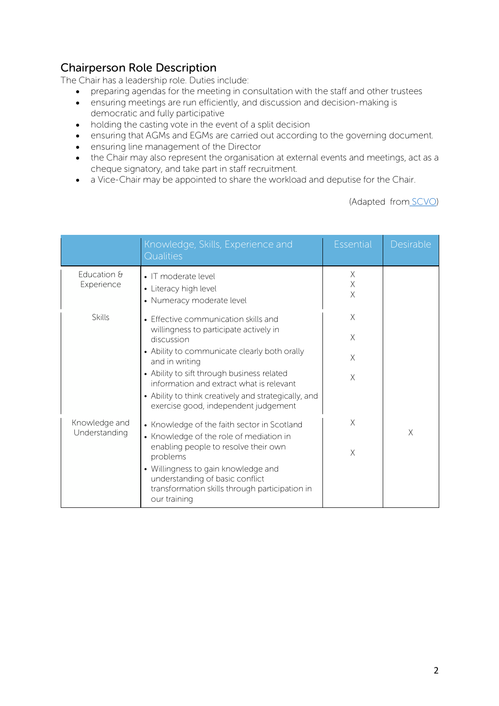## Chairperson Role Description

The Chair has a leadership role. Duties include:

- preparing agendas for the meeting in consultation with the staff and other trustees
- ensuring meetings are run efficiently, and discussion and decision-making is democratic and fully participative
- holding the casting vote in the event of a split decision
- ensuring that AGMs and EGMs are carried out according to the governing document.
- ensuring line management of the Director
- the Chair may also represent the organisation at external events and meetings, act as a cheque signatory, and take part in staff recruitment.
- a Vice-Chair may be appointed to share the workload and deputise for the Chair.

(Adapted from SCVO)

|                                | Knowledge, Skills, Experience and<br>Qualities                                                                                                                                                                                                                                                                                                           | <b>Essential</b>             | Desirable |
|--------------------------------|----------------------------------------------------------------------------------------------------------------------------------------------------------------------------------------------------------------------------------------------------------------------------------------------------------------------------------------------------------|------------------------------|-----------|
| Education &<br>Experience      | • IT moderate level<br>• Literacy high level<br>• Numeracy moderate level                                                                                                                                                                                                                                                                                | X<br>$\mathsf X$<br>$\times$ |           |
| Skills                         | • Effective communication skills and<br>willingness to participate actively in<br>discussion<br>• Ability to communicate clearly both orally<br>and in writing<br>• Ability to sift through business related<br>information and extract what is relevant<br>• Ability to think creatively and strategically, and<br>exercise good, independent judgement | X<br>$\times$<br>X<br>X      |           |
| Knowledge and<br>Understanding | • Knowledge of the faith sector in Scotland<br>• Knowledge of the role of mediation in<br>enabling people to resolve their own<br>problems<br>• Willingness to gain knowledge and<br>understanding of basic conflict<br>transformation skills through participation in<br>our training                                                                   | $\times$<br>X                | X         |